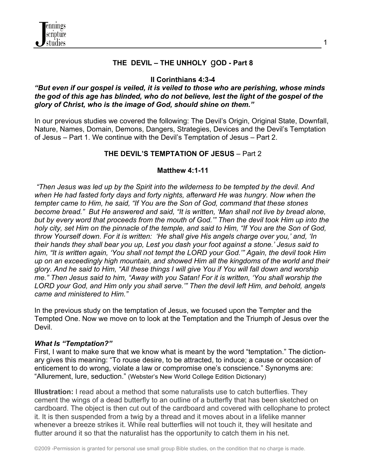

### **THE DEVIL – THE UNHOLY** g**OD - Part 8**

1

### **II Corinthians 4:3-4**

#### *"But even if our gospel is veiled, it is veiled to those who are perishing, whose minds the god of this age has blinded, who do not believe, lest the light of the gospel of the glory of Christ, who is the image of God, should shine on them."*

In our previous studies we covered the following: The Devil's Origin, Original State, Downfall, Nature, Names, Domain, Demons, Dangers, Strategies, Devices and the Devil's Temptation of Jesus – Part 1. We continue with the Devil's Temptation of Jesus – Part 2.

### **THE DEVIL'S TEMPTATION OF JESUS** – Part 2

#### **Matthew 4:1-11**

*"Then Jesus was led up by the Spirit into the wilderness to be tempted by the devil. And*  when He had fasted forty days and forty nights, afterward He was hungry. Now when the *tempter came to Him, he said, "If You are the Son of God, command that these stones become bread." But He answered and said, "It is written, 'Man shall not live by bread alone, but by every word that proceeds from the mouth of God.'" Then the devil took Him up into the holy city, set Him on the pinnacle of the temple, and said to Him, "If You are the Son of God, throw Yourself down. For it is written: 'He shall give His angels charge over you,' and, 'In their hands they shall bear you up, Lest you dash your foot against a stone.' Jesus said to him, "It is written again, 'You shall not tempt the LORD your God.'" Again, the devil took Him up on an exceedingly high mountain, and showed Him all the kingdoms of the world and their glory. And he said to Him, "All these things I will give You if You will fall down and worship me." Then Jesus said to him, "Away with you Satan! For it is written, 'You shall worship the LORD your God, and Him only you shall serve.'" Then the devil left Him, and behold, angels came and ministered to Him."*

In the previous study on the temptation of Jesus, we focused upon the Tempter and the Tempted One. Now we move on to look at the Temptation and the Triumph of Jesus over the Devil.

#### *What Is "Temptation?"*

First, I want to make sure that we know what is meant by the word "temptation." The dictionary gives this meaning: "To rouse desire, to be attracted, to induce; a cause or occasion of enticement to do wrong, violate a law or compromise one's conscience." Synonyms are: "Allurement, lure, seduction." (Webster's New World College Edition Dictionary)

**Illustration:** I read about a method that some naturalists use to catch butterflies. They cement the wings of a dead butterfly to an outline of a butterfly that has been sketched on cardboard. The object is then cut out of the cardboard and covered with cellophane to protect it. It is then suspended from a twig by a thread and it moves about in a lifelike manner whenever a breeze strikes it. While real butterflies will not touch it, they will hesitate and flutter around it so that the naturalist has the opportunity to catch them in his net.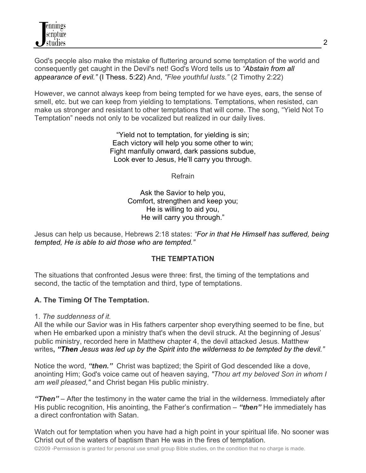God's people also make the mistake of fluttering around some temptation of the world and consequently get caught in the Devil's net! God's Word tells us to *"Abstain from all appearance of evil."* (I Thess. 5:22) And, *"Flee youthful lusts."* (2 Timothy 2:22)

However, we cannot always keep from being tempted for we have eyes, ears, the sense of smell, etc. but we can keep from yielding to temptations. Temptations, when resisted, can make us stronger and resistant to other temptations that will come. The song, "Yield Not To Temptation" needs not only to be vocalized but realized in our daily lives.

> "Yield not to temptation, for yielding is sin; Each victory will help you some other to win; Fight manfully onward, dark passions subdue, Look ever to Jesus, He'll carry you through.

> > Refrain

Ask the Savior to help you, Comfort, strengthen and keep you; He is willing to aid you, He will carry you through."

Jesus can help us because, Hebrews 2:18 states: *"For in that He Himself has suffered, being tempted, He is able to aid those who are tempted."*

## **THE TEMPTATION**

The situations that confronted Jesus were three: first, the timing of the temptations and second, the tactic of the temptation and third, type of temptations.

## **A. The Timing Of The Temptation.**

1. *The suddenness of it.*

All the while our Savior was in His fathers carpenter shop everything seemed to be fine, but when He embarked upon a ministry that's when the devil struck. At the beginning of Jesus' public ministry, recorded here in Matthew chapter 4, the devil attacked Jesus. Matthew writes**,** *"Then Jesus was led up by the Spirit into the wilderness to be tempted by the devil."*

Notice the word, *"then."* Christ was baptized; the Spirit of God descended like a dove, anointing Him; God's voice came out of heaven saying, *"Thou art my beloved Son in whom I am well pleased,"* and Christ began His public ministry.

*"Then"* – After the testimony in the water came the trial in the wilderness. Immediately after His public recognition, His anointing, the Father's confirmation – *"then"* He immediately has a direct confrontation with Satan.

Watch out for temptation when you have had a high point in your spiritual life. No sooner was Christ out of the waters of baptism than He was in the fires of temptation.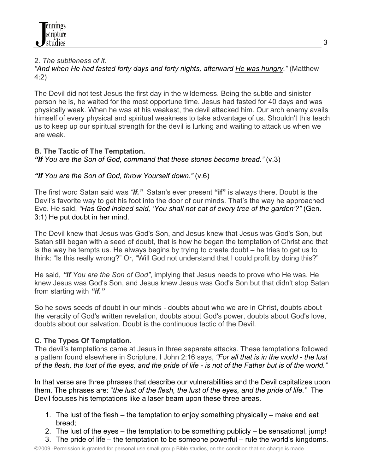### 2. *The subtleness of it.*

*"And when He had fasted forty days and forty nights, afterward He was hungry."* (Matthew 4:2)

The Devil did not test Jesus the first day in the wilderness. Being the subtle and sinister person he is, he waited for the most opportune time. Jesus had fasted for 40 days and was physically weak. When he was at his weakest, the devil attacked him. Our arch enemy avails himself of every physical and spiritual weakness to take advantage of us. Shouldn't this teach us to keep up our spiritual strength for the devil is lurking and waiting to attack us when we are weak.

## **B. The Tactic of The Temptation.**

*"If You are the Son of God, command that these stones become bread."* (v.3)

## *"If You are the Son of God, throw Yourself down."* (v.6)

The first word Satan said was *"If."* Satan's ever present **"if"** is always there. Doubt is the Devil's favorite way to get his foot into the door of our minds. That's the way he approached Eve. He said, *"Has God indeed said, 'You shall not eat of every tree of the garden'?"* (Gen. 3:1) He put doubt in her mind.

The Devil knew that Jesus was God's Son, and Jesus knew that Jesus was God's Son, but Satan still began with a seed of doubt, that is how he began the temptation of Christ and that is the way he tempts us. He always begins by trying to create doubt – he tries to get us to think: "Is this really wrong?" Or, "Will God not understand that I could profit by doing this?"

He said, *"If You are the Son of God"*, implying that Jesus needs to prove who He was. He knew Jesus was God's Son, and Jesus knew Jesus was God's Son but that didn't stop Satan from starting with *"if."*

So he sows seeds of doubt in our minds - doubts about who we are in Christ, doubts about the veracity of God's written revelation, doubts about God's power, doubts about God's love, doubts about our salvation. Doubt is the continuous tactic of the Devil.

## **C. The Types Of Temptation.**

The devil's temptations came at Jesus in three separate attacks. These temptations followed a pattern found elsewhere in Scripture. I John 2:16 says, *"For all that is in the world - the lust of the flesh, the lust of the eyes, and the pride of life - is not of the Father but is of the world."*

In that verse are three phrases that describe our vulnerabilities and the Devil capitalizes upon them. The phrases are: "*the lust of the flesh, the lust of the eyes, and the pride of life."* The Devil focuses his temptations like a laser beam upon these three areas.

- 1. The lust of the flesh the temptation to enjoy something physically make and eat bread;
- 2. The lust of the eyes the temptation to be something publicly be sensational, jump!
- 3. The pride of life the temptation to be someone powerful rule the world's kingdoms.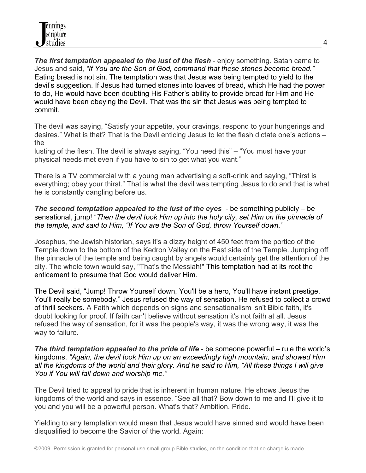**The first temptation appealed to the lust of the flesh** - enjoy something. Satan came to Jesus and said, *"If You are the Son of God, command that these stones become bread."*  Eating bread is not sin. The temptation was that Jesus was being tempted to yield to the devil's suggestion. If Jesus had turned stones into loaves of bread, which He had the power to do, He would have been doubting His Father's ability to provide bread for Him and He would have been obeying the Devil. That was the sin that Jesus was being tempted to commit.

The devil was saying, "Satisfy your appetite, your cravings, respond to your hungerings and desires." What is that? That is the Devil enticing Jesus to let the flesh dictate one's actions – the

lusting of the flesh. The devil is always saying, "You need this" – "You must have your physical needs met even if you have to sin to get what you want."

There is a TV commercial with a young man advertising a soft-drink and saying, "Thirst is everything; obey your thirst." That is what the devil was tempting Jesus to do and that is what he is constantly dangling before us.

#### *The second temptation appealed to the lust of the eyes* - be something publicly – be sensational, jump! "*Then the devil took Him up into the holy city, set Him on the pinnacle of the temple, and said to Him, "If You are the Son of God, throw Yourself down."*

Josephus, the Jewish historian, says it's a dizzy height of 450 feet from the portico of the Temple down to the bottom of the Kedron Valley on the East side of the Temple. Jumping off the pinnacle of the temple and being caught by angels would certainly get the attention of the city. The whole town would say, "That's the Messiah!" This temptation had at its root the enticement to presume that God would deliver Him.

The Devil said, "Jump! Throw Yourself down, You'll be a hero, You'll have instant prestige, You'll really be somebody." Jesus refused the way of sensation. He refused to collect a crowd of thrill seekers. A Faith which depends on signs and sensationalism isn't Bible faith, it's doubt looking for proof. If faith can't believe without sensation it's not faith at all. Jesus refused the way of sensation, for it was the people's way, it was the wrong way, it was the way to failure.

#### *The third temptation appealed to the pride of life* - be someone powerful – rule the world's kingdoms. *"Again, the devil took Him up on an exceedingly high mountain, and showed Him all the kingdoms of the world and their glory. And he said to Him, "All these things I will give You if You will fall down and worship me."*

The Devil tried to appeal to pride that is inherent in human nature. He shows Jesus the kingdoms of the world and says in essence, "See all that? Bow down to me and I'll give it to you and you will be a powerful person. What's that? Ambition. Pride.

Yielding to any temptation would mean that Jesus would have sinned and would have been disqualified to become the Savior of the world. Again: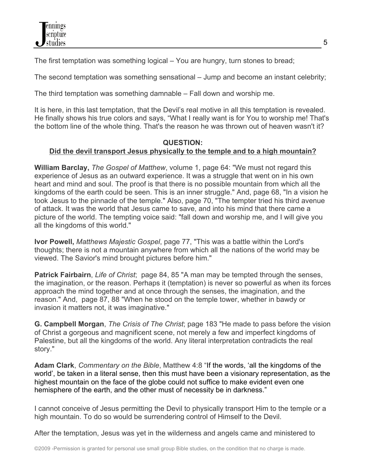The first temptation was something logical – You are hungry, turn stones to bread;

The second temptation was something sensational – Jump and become an instant celebrity;

The third temptation was something damnable – Fall down and worship me.

It is here, in this last temptation, that the Devil's real motive in all this temptation is revealed. He finally shows his true colors and says, "What I really want is for You to worship me! That's the bottom line of the whole thing. That's the reason he was thrown out of heaven wasn't it?

#### **QUESTION: Did the devil transport Jesus physically to the temple and to a high mountain?**

**William Barclay,** *The Gospel of Matthew*, volume 1, page 64: "We must not regard this experience of Jesus as an outward experience. It was a struggle that went on in his own heart and mind and soul. The proof is that there is no possible mountain from which all the kingdoms of the earth could be seen. This is an inner struggle." And, page 68, "In a vision he took Jesus to the pinnacle of the temple." Also, page 70, "The tempter tried his third avenue of attack. It was the world that Jesus came to save, and into his mind that there came a picture of the world. The tempting voice said: "fall down and worship me, and I will give you all the kingdoms of this world."

**Ivor Powell,** *Matthews Majestic Gospel*, page 77, "This was a battle within the Lord's thoughts; there is not a mountain anywhere from which all the nations of the world may be viewed. The Savior's mind brought pictures before him."

**Patrick Fairbairn**, *Life of Christ*; page 84, 85 "A man may be tempted through the senses, the imagination, or the reason. Perhaps it (temptation) is never so powerful as when its forces approach the mind together and at once through the senses, the imagination, and the reason." And, page 87, 88 "When he stood on the temple tower, whether in bawdy or invasion it matters not, it was imaginative."

**G. Campbell Morgan**, *The Crisis of The Christ*; page 183 "He made to pass before the vision of Christ a gorgeous and magnificent scene, not merely a few and imperfect kingdoms of Palestine, but all the kingdoms of the world. Any literal interpretation contradicts the real story."

**Adam Clark**, *Commentary on the Bible*, Matthew 4:8 "If the words, 'all the kingdoms of the world', be taken in a literal sense, then this must have been a visionary representation, as the highest mountain on the face of the globe could not suffice to make evident even one hemisphere of the earth, and the other must of necessity be in darkness."

I cannot conceive of Jesus permitting the Devil to physically transport Him to the temple or a high mountain. To do so would be surrendering control of Himself to the Devil.

After the temptation, Jesus was yet in the wilderness and angels came and ministered to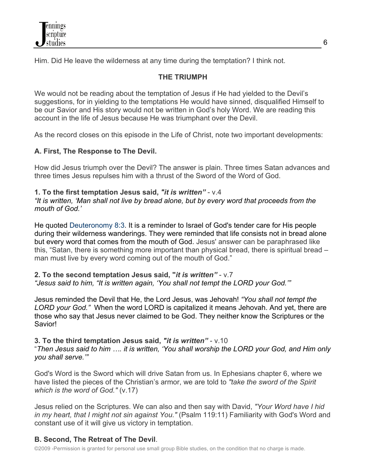Him. Did He leave the wilderness at any time during the temptation? I think not.

## **THE TRIUMPH**

We would not be reading about the temptation of Jesus if He had yielded to the Devil's suggestions, for in yielding to the temptations He would have sinned, disqualified Himself to be our Savior and His story would not be written in God's holy Word. We are reading this account in the life of Jesus because He was triumphant over the Devil.

As the record closes on this episode in the Life of Christ, note two important developments:

## **A. First, The Response to The Devil.**

How did Jesus triumph over the Devil? The answer is plain. Three times Satan advances and three times Jesus repulses him with a thrust of the Sword of the Word of God.

#### **1. To the first temptation Jesus said,** *"it is written"* - v.4 *"It is written, 'Man shall not live by bread alone, but by every word that proceeds from the mouth of God.'*

He quoted Deuteronomy 8:3. It is a reminder to Israel of God's tender care for His people during their wilderness wanderings. They were reminded that life consists not in bread alone but every word that comes from the mouth of God. Jesus' answer can be paraphrased like this, "Satan, there is something more important than physical bread, there is spiritual bread – man must live by every word coming out of the mouth of God."

**2. To the second temptation Jesus said, "***it is written"* - v.7 *"Jesus said to him, "It is written again, 'You shall not tempt the LORD your God.'"*

Jesus reminded the Devil that He, the Lord Jesus, was Jehovah! *"You shall not tempt the LORD your God."* When the word LORD is capitalized it means Jehovah. And yet, there are those who say that Jesus never claimed to be God. They neither know the Scriptures or the Savior!

## **3. To the third temptation Jesus said,** *"it is written"* - v.10

"*Then Jesus said to him …. it is written, 'You shall worship the LORD your God, and Him only you shall serve.'"*

God's Word is the Sword which will drive Satan from us. In Ephesians chapter 6, where we have listed the pieces of the Christian's armor, we are told to *"take the sword of the Spirit which is the word of God."* (v.17)

Jesus relied on the Scriptures. We can also and then say with David, *"Your Word have I hid in my heart, that I might not sin against You." (Psalm 119:11) Familiarity with God's Word and* constant use of it will give us victory in temptation.

# **B. Second, The Retreat of The Devil**.

©2009 -Permission is granted for personal use small group Bible studies, on the condition that no charge is made.